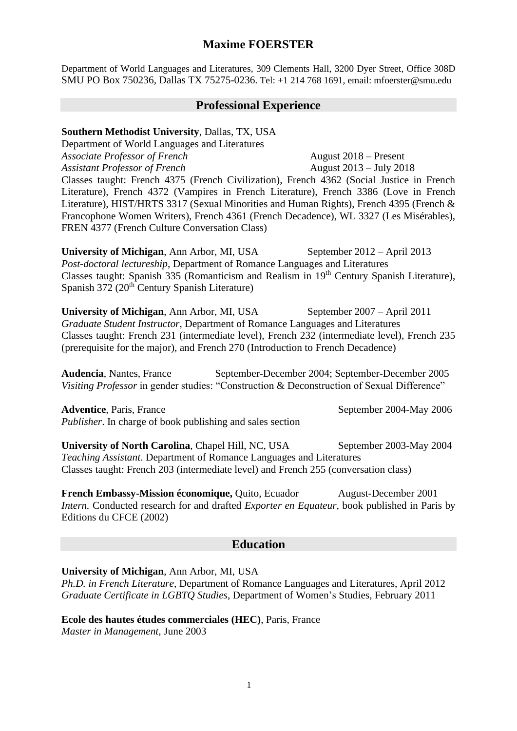# **Maxime FOERSTER**

Department of World Languages and Literatures, 309 Clements Hall, 3200 Dyer Street, Office 308D SMU PO Box 750236, Dallas TX 75275-0236. Tel: +1 214 768 1691, email: mfoerster@smu.edu

### **Professional Experience**

#### **Southern Methodist University**, Dallas, TX, USA

Department of World Languages and Literatures *Associate Professor of French* August 2018 – Present *Assistant Professor of French* August 2013 – July 2018 Classes taught: French 4375 (French Civilization), French 4362 (Social Justice in French Literature), French 4372 (Vampires in French Literature), French 3386 (Love in French Literature), HIST/HRTS 3317 (Sexual Minorities and Human Rights), French 4395 (French & Francophone Women Writers), French 4361 (French Decadence), WL 3327 (Les Misérables), FREN 4377 (French Culture Conversation Class)

**University of Michigan, Ann Arbor, MI, USA** September 2012 – April 2013 *Post-doctoral lectureship*, Department of Romance Languages and Literatures Classes taught: Spanish 335 (Romanticism and Realism in 19th Century Spanish Literature), Spanish 372 (20<sup>th</sup> Century Spanish Literature)

**University of Michigan, Ann Arbor, MI, USA** September 2007 – April 2011 *Graduate Student Instructor*, Department of Romance Languages and Literatures Classes taught: French 231 (intermediate level), French 232 (intermediate level), French 235 (prerequisite for the major), and French 270 (Introduction to French Decadence)

**Audencia**, Nantes, France September-December 2004; September-December 2005 *Visiting Professor* in gender studies: "Construction & Deconstruction of Sexual Difference"

Adventice, Paris, France September 2004-May 2006 *Publisher*. In charge of book publishing and sales section

**University of North Carolina, Chapel Hill, NC, USA** September 2003-May 2004 *Teaching Assistant*. Department of Romance Languages and Literatures Classes taught: French 203 (intermediate level) and French 255 (conversation class)

**French Embassy-Mission économique,** Quito, Ecuador August-December 2001 *Intern.* Conducted research for and drafted *Exporter en Equateur*, book published in Paris by Editions du CFCE (2002)

## **Education**

#### **University of Michigan**, Ann Arbor, MI, USA

*Ph.D. in French Literature*, Department of Romance Languages and Literatures, April 2012 *Graduate Certificate in LGBTQ Studies*, Department of Women's Studies, February 2011

**Ecole des hautes études commerciales (HEC)**, Paris, France *Master in Management*, June 2003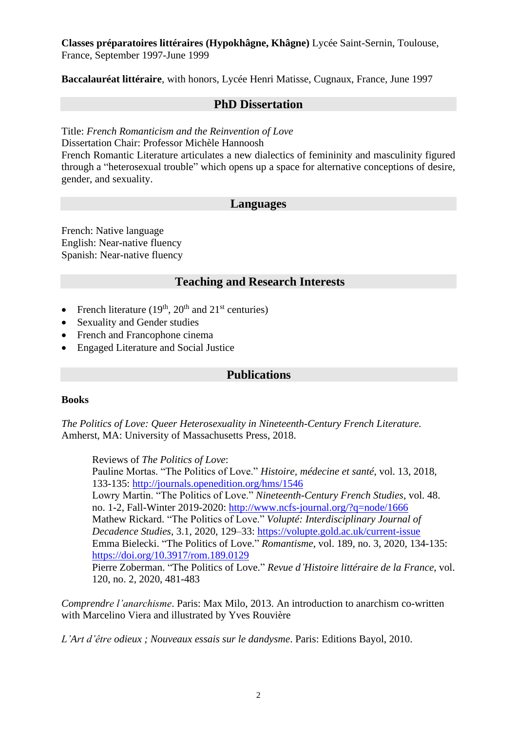### **Classes préparatoires littéraires (Hypokhâgne, Khâgne)** Lycée Saint-Sernin, Toulouse, France, September 1997-June 1999

**Baccalauréat littéraire**, with honors, Lycée Henri Matisse, Cugnaux, France, June 1997

### **PhD Dissertation**

Title: *French Romanticism and the Reinvention of Love*

Dissertation Chair: Professor Michèle Hannoosh

French Romantic Literature articulates a new dialectics of femininity and masculinity figured through a "heterosexual trouble" which opens up a space for alternative conceptions of desire, gender, and sexuality.

## **Languages**

French: Native language English: Near-native fluency Spanish: Near-native fluency

## **Teaching and Research Interests**

- French literature  $(19<sup>th</sup>, 20<sup>th</sup>$  and  $21<sup>st</sup>$  centuries)
- Sexuality and Gender studies
- French and Francophone cinema
- Engaged Literature and Social Justice

### **Publications**

#### **Books**

*The Politics of Love: Queer Heterosexuality in Nineteenth-Century French Literature.* Amherst, MA: University of Massachusetts Press, 2018.

Reviews of *The Politics of Love*: Pauline Mortas. "The Politics of Love." *Histoire, médecine et santé*, vol. 13, 2018, 133-135:<http://journals.openedition.org/hms/1546> Lowry Martin. "The Politics of Love." *Nineteenth-Century French Studies*, vol. 48. no. 1-2, Fall-Winter 2019-2020:<http://www.ncfs-journal.org/?q=node/1666> Mathew Rickard. "The Politics of Love." *Volupté: Interdisciplinary Journal of Decadence Studies*, 3.1, 2020, 129–33:<https://volupte.gold.ac.uk/current-issue> Emma Bielecki. "The Politics of Love." *Romantisme*, vol. 189, no. 3, 2020, 134-135: [https://doi.org/10.3917/rom.189.0129](https://doi.org/10.3917/rom.189.0129#xd_co_f=ODZhMGVjY2EtZTQ5NC00ODcyLWIyMWUtNzgwOTFjMDE3OGUx~) Pierre Zoberman. "The Politics of Love." *Revue d'Histoire littéraire de la France*, vol. 120, no. 2, 2020, 481-483

*Comprendre l'anarchisme*. Paris: Max Milo, 2013. An introduction to anarchism co-written with Marcelino Viera and illustrated by Yves Rouvière

*L'Art d'être odieux ; Nouveaux essais sur le dandysme*. Paris: Editions Bayol, 2010.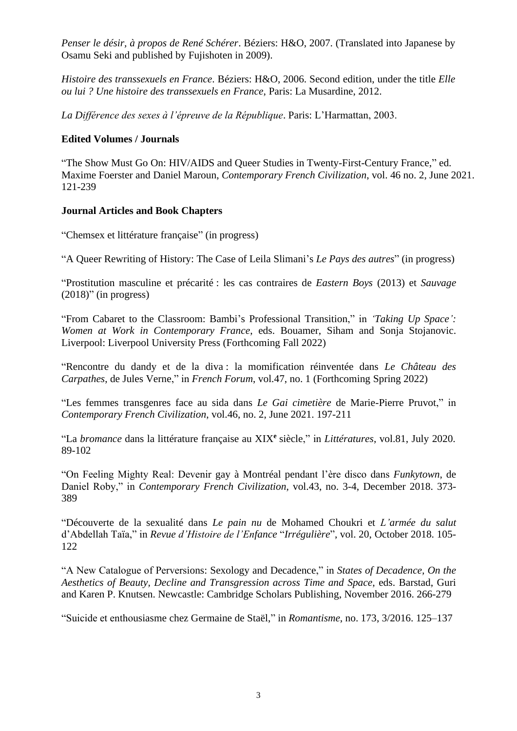*Penser le désir, à propos de René Schérer*. Béziers: H&O, 2007. (Translated into Japanese by Osamu Seki and published by Fujishoten in 2009).

*Histoire des transsexuels en France*. Béziers: H&O, 2006. Second edition, under the title *Elle ou lui ? Une histoire des transsexuels en France*, Paris: La Musardine, 2012.

*La Différence des sexes à l'épreuve de la République*. Paris: L'Harmattan, 2003.

### **Edited Volumes / Journals**

"The Show Must Go On: HIV/AIDS and Queer Studies in Twenty-First-Century France," ed. Maxime Foerster and Daniel Maroun, *Contemporary French Civilization*, vol. 46 no. 2, June 2021. 121-239

### **Journal Articles and Book Chapters**

"Chemsex et littérature française" (in progress)

"A Queer Rewriting of History: The Case of Leila Slimani's *Le Pays des autres*" (in progress)

"Prostitution masculine et précarité : les cas contraires de *Eastern Boys* (2013) et *Sauvage*  $(2018)$ " (in progress)

"From Cabaret to the Classroom: Bambi's Professional Transition," in *'Taking Up Space': Women at Work in Contemporary France*, eds. Bouamer, Siham and Sonja Stojanovic. Liverpool: Liverpool University Press (Forthcoming Fall 2022)

"Rencontre du dandy et de la diva : la momification réinventée dans *Le Château des Carpathes*, de Jules Verne," in *French Forum*, vol.47, no. 1 (Forthcoming Spring 2022)

"Les femmes transgenres face au sida dans *Le Gai cimetière* de Marie-Pierre Pruvot," in *Contemporary French Civilization*, vol.46, no. 2, June 2021. 197-211

"La *bromance* dans la littérature française au XIX**<sup>e</sup>** siècle," in *Littératures*, vol.81, July 2020. 89-102

"On Feeling Mighty Real: Devenir gay à Montréal pendant l'ère disco dans *Funkytown*, de Daniel Roby," in *Contemporary French Civilization*, vol.43, no. 3-4, December 2018. 373- 389

"Découverte de la sexualité dans *Le pain nu* de Mohamed Choukri et *L'armée du salut* d'Abdellah Taïa," in *Revue d'Histoire de l'Enfance* "*Irrégulière*", vol. 20, October 2018. 105- 122

"A New Catalogue of Perversions: Sexology and Decadence," in *States of Decadence, On the Aesthetics of Beauty, Decline and Transgression across Time and Space*, eds. Barstad, Guri and Karen P. Knutsen. Newcastle: Cambridge Scholars Publishing, November 2016. 266-279

"Suicide et enthousiasme chez Germaine de Staël," in *Romantisme*, no. 173, 3/2016. 125–137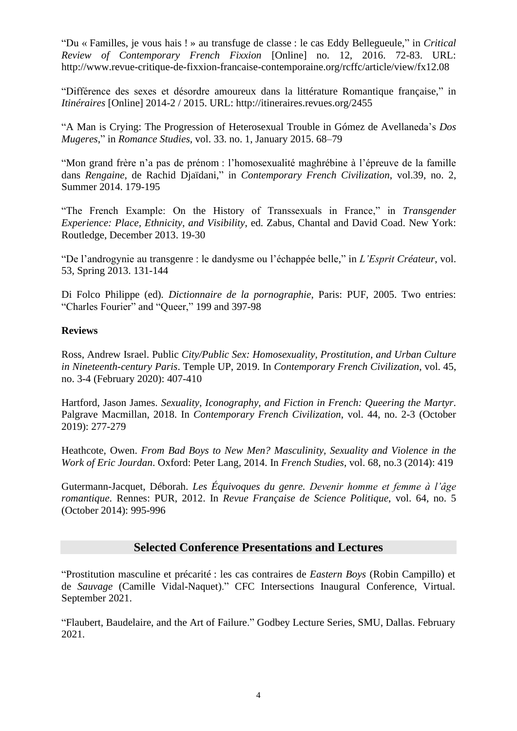"Du « Familles, je vous hais ! » au transfuge de classe : le cas Eddy Bellegueule," in *Critical Review of Contemporary French Fixxion* [Online] no. 12, 2016. 72-83. URL: http://www.revue-critique-de-fixxion-francaise-contemporaine.org/rcffc/article/view/fx12.08

"Différence des sexes et désordre amoureux dans la littérature Romantique française," in *Itinéraires* [Online] 2014-2 / 2015. URL: http://itineraires.revues.org/2455

"A Man is Crying: The Progression of Heterosexual Trouble in Gómez de Avellaneda's *Dos Mugeres*," in *Romance Studies*, vol. 33. no. 1, January 2015. 68–79

"Mon grand frère n'a pas de prénom : l'homosexualité maghrébine à l'épreuve de la famille dans *Rengaine*, de Rachid Djaïdani," in *Contemporary French Civilization*, vol.39, no. 2, Summer 2014. 179-195

"The French Example: On the History of Transsexuals in France," in *Transgender Experience: Place, Ethnicity, and Visibility*, ed. Zabus, Chantal and David Coad. New York: Routledge, December 2013. 19-30

"De l'androgynie au transgenre : le dandysme ou l'échappée belle," in *L'Esprit Créateur*, vol. 53, Spring 2013. 131-144

Di Folco Philippe (ed)*. Dictionnaire de la pornographie*, Paris: PUF, 2005. Two entries: "Charles Fourier" and "Queer," 199 and 397-98

#### **Reviews**

Ross, Andrew Israel. Public *City/Public Sex: Homosexuality, Prostitution, and Urban Culture in Nineteenth-century Paris*. Temple UP, 2019. In *Contemporary French Civilization*, vol. 45, no. 3-4 (February 2020): 407-410

Hartford, Jason James. *Sexuality, Iconography, and Fiction in French: Queering the Martyr*. Palgrave Macmillan, 2018. In *Contemporary French Civilization*, vol. 44, no. 2-3 (October 2019): 277-279

Heathcote, Owen. *From Bad Boys to New Men? Masculinity, Sexuality and Violence in the Work of Eric Jourdan*. Oxford: Peter Lang, 2014. In *French Studies*, vol. 68, no.3 (2014): 419

Gutermann-Jacquet, Déborah. *Les Équivoques du genre. Devenir homme et femme à l'âge romantique*. Rennes: PUR, 2012. In *Revue Française de Science Politique*, vol. 64, no. 5 (October 2014): 995-996

### **Selected Conference Presentations and Lectures**

"Prostitution masculine et précarité : les cas contraires de *Eastern Boys* (Robin Campillo) et de *Sauvage* (Camille Vidal-Naquet)." CFC Intersections Inaugural Conference, Virtual. September 2021.

"Flaubert, Baudelaire, and the Art of Failure." Godbey Lecture Series, SMU, Dallas. February 2021.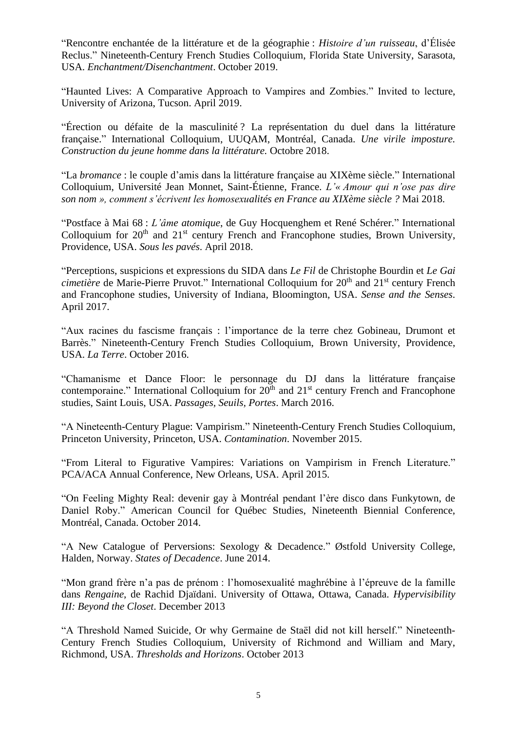"Rencontre enchantée de la littérature et de la géographie : *Histoire d'un ruisseau*, d'Élisée Reclus." Nineteenth-Century French Studies Colloquium, Florida State University, Sarasota, USA. *Enchantment/Disenchantment*. October 2019.

"Haunted Lives: A Comparative Approach to Vampires and Zombies." Invited to lecture, University of Arizona, Tucson. April 2019.

"Érection ou défaite de la masculinité ? La représentation du duel dans la littérature française." International Colloquium, UUQAM, Montréal, Canada. *Une virile imposture. Construction du jeune homme dans la littérature.* Octobre 2018.

"La *bromance* : le couple d'amis dans la littérature française au XIXème siècle." International Colloquium, Université Jean Monnet, Saint-Étienne, France. *L'« Amour qui n'ose pas dire son nom », comment s'écrivent les homosexualités en France au XIXème siècle ?* Mai 2018.

"Postface à Mai 68 : *L'âme atomique*, de Guy Hocquenghem et René Schérer." International Colloquium for  $20<sup>th</sup>$  and  $21<sup>st</sup>$  century French and Francophone studies, Brown University, Providence, USA. *Sous les pavés*. April 2018.

"Perceptions, suspicions et expressions du SIDA dans *Le Fil* de Christophe Bourdin et *Le Gai*  cimetière de Marie-Pierre Pruvot." International Colloquium for 20<sup>th</sup> and 21<sup>st</sup> century French and Francophone studies, University of Indiana, Bloomington, USA. *Sense and the Senses*. April 2017.

"Aux racines du fascisme français : l'importance de la terre chez Gobineau, Drumont et Barrès." Nineteenth-Century French Studies Colloquium, Brown University, Providence, USA. *La Terre*. October 2016.

"Chamanisme et Dance Floor: le personnage du DJ dans la littérature française contemporaine." International Colloquium for  $20<sup>th</sup>$  and  $21<sup>st</sup>$  century French and Francophone studies, Saint Louis, USA. *Passages, Seuils, Portes*. March 2016.

"A Nineteenth-Century Plague: Vampirism." Nineteenth-Century French Studies Colloquium, Princeton University, Princeton, USA. *Contamination*. November 2015.

"From Literal to Figurative Vampires: Variations on Vampirism in French Literature." PCA/ACA Annual Conference, New Orleans, USA. April 2015.

"On Feeling Mighty Real: devenir gay à Montréal pendant l'ère disco dans Funkytown, de Daniel Roby." American Council for Québec Studies, Nineteenth Biennial Conference, Montréal, Canada. October 2014.

"A New Catalogue of Perversions: Sexology & Decadence." Østfold University College, Halden, Norway. *States of Decadence*. June 2014.

"Mon grand frère n'a pas de prénom : l'homosexualité maghrébine à l'épreuve de la famille dans *Rengaine*, de Rachid Djaïdani. University of Ottawa, Ottawa, Canada. *Hypervisibility III: Beyond the Closet*. December 2013

"A Threshold Named Suicide, Or why Germaine de Staël did not kill herself." Nineteenth-Century French Studies Colloquium, University of Richmond and William and Mary, Richmond, USA. *Thresholds and Horizons*. October 2013